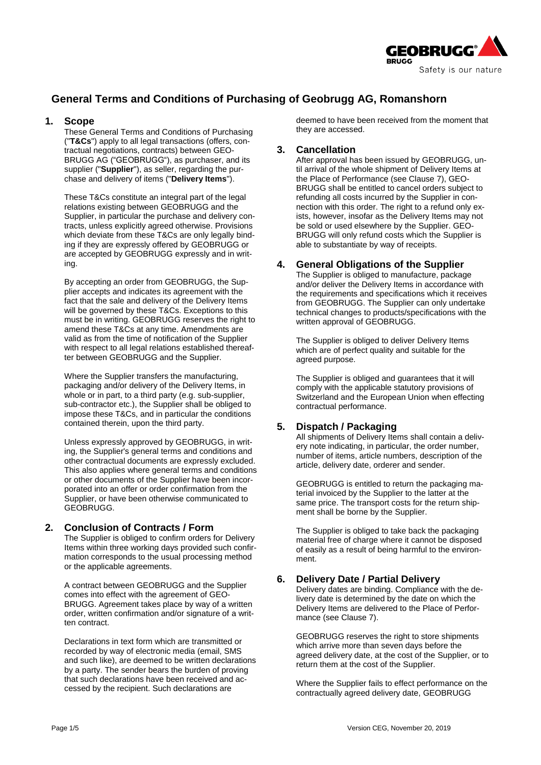

# **General Terms and Conditions of Purchasing of Geobrugg AG, Romanshorn**

#### **1. Scope**

These General Terms and Conditions of Purchasing ("**T&Cs**") apply to all legal transactions (offers, contractual negotiations, contracts) between GEO-BRUGG AG ("GEOBRUGG"), as purchaser, and its supplier ("**Supplier**"), as seller, regarding the purchase and delivery of items ("**Delivery Items**").

These T&Cs constitute an integral part of the legal relations existing between GEOBRUGG and the Supplier, in particular the purchase and delivery contracts, unless explicitly agreed otherwise. Provisions which deviate from these T&Cs are only legally binding if they are expressly offered by GEOBRUGG or are accepted by GEOBRUGG expressly and in writing.

By accepting an order from GEOBRUGG, the Supplier accepts and indicates its agreement with the fact that the sale and delivery of the Delivery Items will be governed by these T&Cs. Exceptions to this must be in writing. GEOBRUGG reserves the right to amend these T&Cs at any time. Amendments are valid as from the time of notification of the Supplier with respect to all legal relations established thereafter between GEOBRUGG and the Supplier.

Where the Supplier transfers the manufacturing, packaging and/or delivery of the Delivery Items, in whole or in part, to a third party (e.g. sub-supplier, sub-contractor etc.), the Supplier shall be obliged to impose these T&Cs, and in particular the conditions contained therein, upon the third party.

Unless expressly approved by GEOBRUGG, in writing, the Supplier's general terms and conditions and other contractual documents are expressly excluded. This also applies where general terms and conditions or other documents of the Supplier have been incorporated into an offer or order confirmation from the Supplier, or have been otherwise communicated to GEOBRUGG.

### **2. Conclusion of Contracts / Form**

The Supplier is obliged to confirm orders for Delivery Items within three working days provided such confirmation corresponds to the usual processing method or the applicable agreements.

A contract between GEOBRUGG and the Supplier comes into effect with the agreement of GEO-BRUGG. Agreement takes place by way of a written order, written confirmation and/or signature of a written contract.

Declarations in text form which are transmitted or recorded by way of electronic media (email, SMS and such like), are deemed to be written declarations by a party. The sender bears the burden of proving that such declarations have been received and accessed by the recipient. Such declarations are

deemed to have been received from the moment that they are accessed.

### **3. Cancellation**

After approval has been issued by GEOBRUGG, until arrival of the whole shipment of Delivery Items at the Place of Performance (see Clause 7), GEO-BRUGG shall be entitled to cancel orders subject to refunding all costs incurred by the Supplier in connection with this order. The right to a refund only exists, however, insofar as the Delivery Items may not be sold or used elsewhere by the Supplier. GEO-BRUGG will only refund costs which the Supplier is able to substantiate by way of receipts.

### **4. General Obligations of the Supplier**

The Supplier is obliged to manufacture, package and/or deliver the Delivery Items in accordance with the requirements and specifications which it receives from GEOBRUGG. The Supplier can only undertake technical changes to products/specifications with the written approval of GEOBRUGG.

The Supplier is obliged to deliver Delivery Items which are of perfect quality and suitable for the agreed purpose.

The Supplier is obliged and guarantees that it will comply with the applicable statutory provisions of Switzerland and the European Union when effecting contractual performance.

### **5. Dispatch / Packaging**

All shipments of Delivery Items shall contain a delivery note indicating, in particular, the order number, number of items, article numbers, description of the article, delivery date, orderer and sender.

GEOBRUGG is entitled to return the packaging material invoiced by the Supplier to the latter at the same price. The transport costs for the return shipment shall be borne by the Supplier.

The Supplier is obliged to take back the packaging material free of charge where it cannot be disposed of easily as a result of being harmful to the environment.

### **6. Delivery Date / Partial Delivery**

Delivery dates are binding. Compliance with the delivery date is determined by the date on which the Delivery Items are delivered to the Place of Performance (see Clause 7).

GEOBRUGG reserves the right to store shipments which arrive more than seven days before the agreed delivery date, at the cost of the Supplier, or to return them at the cost of the Supplier.

Where the Supplier fails to effect performance on the contractually agreed delivery date, GEOBRUGG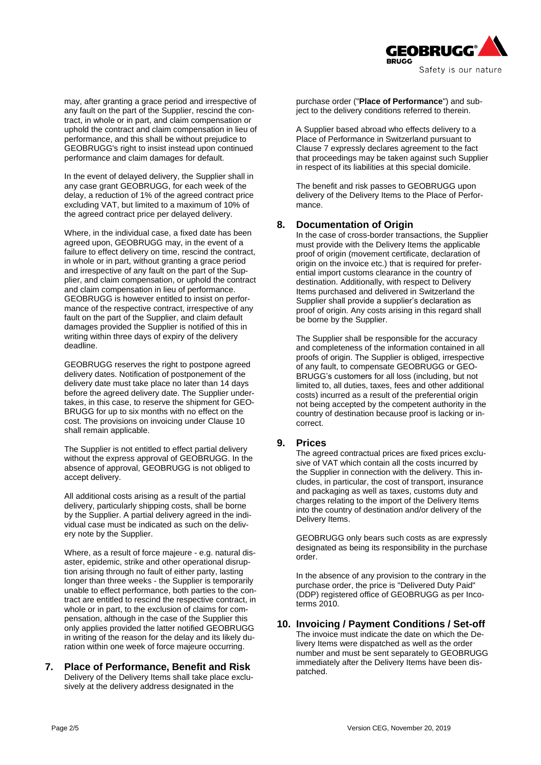

may, after granting a grace period and irrespective of any fault on the part of the Supplier, rescind the contract, in whole or in part, and claim compensation or uphold the contract and claim compensation in lieu of performance, and this shall be without prejudice to GEOBRUGG's right to insist instead upon continued performance and claim damages for default.

In the event of delayed delivery, the Supplier shall in any case grant GEOBRUGG, for each week of the delay, a reduction of 1% of the agreed contract price excluding VAT, but limited to a maximum of 10% of the agreed contract price per delayed delivery.

Where, in the individual case, a fixed date has been agreed upon, GEOBRUGG may, in the event of a failure to effect delivery on time, rescind the contract, in whole or in part, without granting a grace period and irrespective of any fault on the part of the Supplier, and claim compensation, or uphold the contract and claim compensation in lieu of performance. GEOBRUGG is however entitled to insist on performance of the respective contract, irrespective of any fault on the part of the Supplier, and claim default damages provided the Supplier is notified of this in writing within three days of expiry of the delivery deadline.

GEOBRUGG reserves the right to postpone agreed delivery dates. Notification of postponement of the delivery date must take place no later than 14 days before the agreed delivery date. The Supplier undertakes, in this case, to reserve the shipment for GEO-BRUGG for up to six months with no effect on the cost. The provisions on invoicing under Clause 10 shall remain applicable.

The Supplier is not entitled to effect partial delivery without the express approval of GEOBRUGG. In the absence of approval, GEOBRUGG is not obliged to accept delivery.

All additional costs arising as a result of the partial delivery, particularly shipping costs, shall be borne by the Supplier. A partial delivery agreed in the individual case must be indicated as such on the delivery note by the Supplier.

Where, as a result of force majeure - e.g. natural disaster, epidemic, strike and other operational disruption arising through no fault of either party, lasting longer than three weeks - the Supplier is temporarily unable to effect performance, both parties to the contract are entitled to rescind the respective contract, in whole or in part, to the exclusion of claims for compensation, although in the case of the Supplier this only applies provided the latter notified GEOBRUGG in writing of the reason for the delay and its likely duration within one week of force majeure occurring.

#### **7. Place of Performance, Benefit and Risk** Delivery of the Delivery Items shall take place exclusively at the delivery address designated in the

purchase order ("**Place of Performance**") and subject to the delivery conditions referred to therein.

A Supplier based abroad who effects delivery to a Place of Performance in Switzerland pursuant to Clause 7 expressly declares agreement to the fact that proceedings may be taken against such Supplier in respect of its liabilities at this special domicile.

The benefit and risk passes to GEOBRUGG upon delivery of the Delivery Items to the Place of Performance.

### **8. Documentation of Origin**

In the case of cross-border transactions, the Supplier must provide with the Delivery Items the applicable proof of origin (movement certificate, declaration of origin on the invoice etc.) that is required for preferential import customs clearance in the country of destination. Additionally, with respect to Delivery Items purchased and delivered in Switzerland the Supplier shall provide a supplier's declaration as proof of origin. Any costs arising in this regard shall be borne by the Supplier.

The Supplier shall be responsible for the accuracy and completeness of the information contained in all proofs of origin. The Supplier is obliged, irrespective of any fault, to compensate GEOBRUGG or GEO-BRUGG's customers for all loss (including, but not limited to, all duties, taxes, fees and other additional costs) incurred as a result of the preferential origin not being accepted by the competent authority in the country of destination because proof is lacking or incorrect.

#### **9. Prices**

The agreed contractual prices are fixed prices exclusive of VAT which contain all the costs incurred by the Supplier in connection with the delivery. This includes, in particular, the cost of transport, insurance and packaging as well as taxes, customs duty and charges relating to the import of the Delivery Items into the country of destination and/or delivery of the Delivery Items.

GEOBRUGG only bears such costs as are expressly designated as being its responsibility in the purchase order.

In the absence of any provision to the contrary in the purchase order, the price is "Delivered Duty Paid" (DDP) registered office of GEOBRUGG as per Incoterms 2010.

#### **10. Invoicing / Payment Conditions / Set-off**

The invoice must indicate the date on which the Delivery Items were dispatched as well as the order number and must be sent separately to GEOBRUGG immediately after the Delivery Items have been dispatched.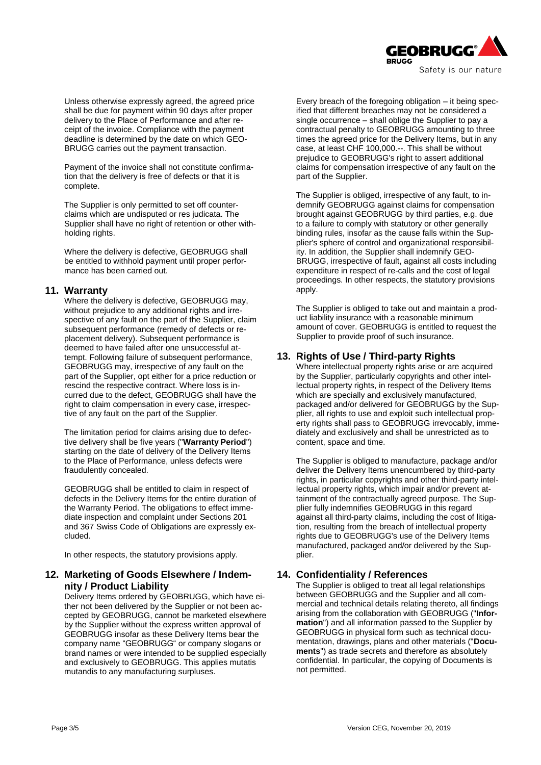

Unless otherwise expressly agreed, the agreed price shall be due for payment within 90 days after proper delivery to the Place of Performance and after receipt of the invoice. Compliance with the payment deadline is determined by the date on which GEO-BRUGG carries out the payment transaction.

Payment of the invoice shall not constitute confirmation that the delivery is free of defects or that it is complete.

The Supplier is only permitted to set off counterclaims which are undisputed or res judicata. The Supplier shall have no right of retention or other withholding rights.

Where the delivery is defective, GEOBRUGG shall be entitled to withhold payment until proper performance has been carried out.

#### **11. Warranty**

Where the delivery is defective, GEOBRUGG may, without prejudice to any additional rights and irrespective of any fault on the part of the Supplier, claim subsequent performance (remedy of defects or replacement delivery). Subsequent performance is deemed to have failed after one unsuccessful attempt. Following failure of subsequent performance, GEOBRUGG may, irrespective of any fault on the part of the Supplier, opt either for a price reduction or rescind the respective contract. Where loss is incurred due to the defect, GEOBRUGG shall have the right to claim compensation in every case, irrespective of any fault on the part of the Supplier.

The limitation period for claims arising due to defective delivery shall be five years ("**Warranty Period**") starting on the date of delivery of the Delivery Items to the Place of Performance, unless defects were fraudulently concealed.

GEOBRUGG shall be entitled to claim in respect of defects in the Delivery Items for the entire duration of the Warranty Period. The obligations to effect immediate inspection and complaint under Sections 201 and 367 Swiss Code of Obligations are expressly excluded.

In other respects, the statutory provisions apply.

### **12. Marketing of Goods Elsewhere / Indemnity / Product Liability**

Delivery Items ordered by GEOBRUGG, which have either not been delivered by the Supplier or not been accepted by GEOBRUGG, cannot be marketed elsewhere by the Supplier without the express written approval of GEOBRUGG insofar as these Delivery Items bear the company name "GEOBRUGG" or company slogans or brand names or were intended to be supplied especially and exclusively to GEOBRUGG. This applies mutatis mutandis to any manufacturing surpluses.

Every breach of the foregoing obligation – it being specified that different breaches may not be considered a single occurrence – shall oblige the Supplier to pay a contractual penalty to GEOBRUGG amounting to three times the agreed price for the Delivery Items, but in any case, at least CHF 100,000.--. This shall be without prejudice to GEOBRUGG's right to assert additional claims for compensation irrespective of any fault on the part of the Supplier.

The Supplier is obliged, irrespective of any fault, to indemnify GEOBRUGG against claims for compensation brought against GEOBRUGG by third parties, e.g. due to a failure to comply with statutory or other generally binding rules, insofar as the cause falls within the Supplier's sphere of control and organizational responsibility. In addition, the Supplier shall indemnify GEO-BRUGG, irrespective of fault, against all costs including expenditure in respect of re-calls and the cost of legal proceedings. In other respects, the statutory provisions apply.

The Supplier is obliged to take out and maintain a product liability insurance with a reasonable minimum amount of cover. GEOBRUGG is entitled to request the Supplier to provide proof of such insurance.

### **13. Rights of Use / Third-party Rights**

Where intellectual property rights arise or are acquired by the Supplier, particularly copyrights and other intellectual property rights, in respect of the Delivery Items which are specially and exclusively manufactured, packaged and/or delivered for GEOBRUGG by the Supplier, all rights to use and exploit such intellectual property rights shall pass to GEOBRUGG irrevocably, immediately and exclusively and shall be unrestricted as to content, space and time.

The Supplier is obliged to manufacture, package and/or deliver the Delivery Items unencumbered by third-party rights, in particular copyrights and other third-party intellectual property rights, which impair and/or prevent attainment of the contractually agreed purpose. The Supplier fully indemnifies GEOBRUGG in this regard against all third-party claims, including the cost of litigation, resulting from the breach of intellectual property rights due to GEOBRUGG's use of the Delivery Items manufactured, packaged and/or delivered by the Supplier.

### **14. Confidentiality / References**

The Supplier is obliged to treat all legal relationships between GEOBRUGG and the Supplier and all commercial and technical details relating thereto, all findings arising from the collaboration with GEOBRUGG ("**Information**") and all information passed to the Supplier by GEOBRUGG in physical form such as technical documentation, drawings, plans and other materials ("**Documents**") as trade secrets and therefore as absolutely confidential. In particular, the copying of Documents is not permitted.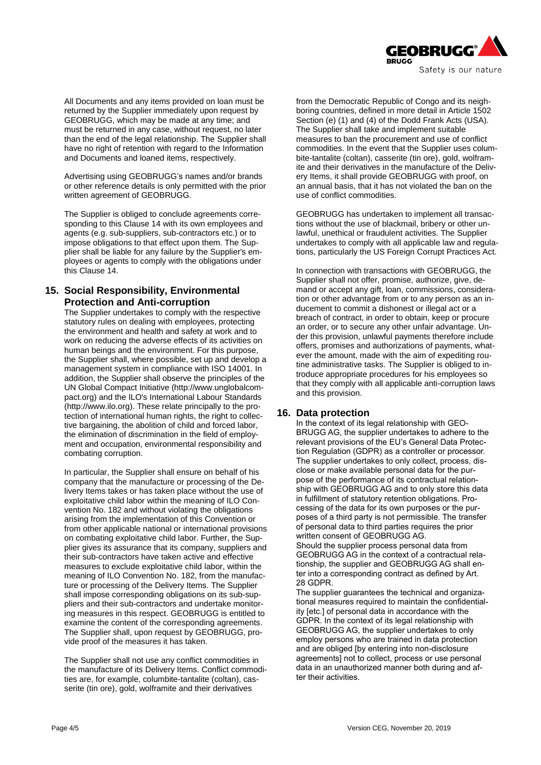

All Documents and any items provided on loan must be returned by the Supplier immediately upon request by GEOBRUGG, which may be made at any time; and must be returned in any case, without request, no later than the end of the legal relationship. The Supplier shall have no right of retention with regard to the Information and Documents and loaned items, respectively.

Advertising using GEOBRUGG's names and/or brands or other reference details is only permitted with the prior written agreement of GEOBRUGG.

The Supplier is obliged to conclude agreements corresponding to this Clause 14 with its own employees and agents (e.g. sub-suppliers, sub-contractors etc.) or to impose obligations to that effect upon them. The Supplier shall be liable for any failure by the Supplier's employees or agents to comply with the obligations under this Clause 14.

## **15. Social Responsibility, Environmental Protection and Anti-corruption**

The Supplier undertakes to comply with the respective statutory rules on dealing with employees, protecting the environment and health and safety at work and to work on reducing the adverse effects of its activities on human beings and the environment. For this purpose, the Supplier shall, where possible, set up and develop a management system in compliance with ISO 14001. In addition, the Supplier shall observe the principles of the UN Global Compact Initiative (http://www.unglobalcompact.org) and the ILO's International Labour Standards (http://www.ilo.org). These relate principally to the protection of international human rights, the right to collective bargaining, the abolition of child and forced labor, the elimination of discrimination in the field of employment and occupation, environmental responsibility and combating corruption.

In particular, the Supplier shall ensure on behalf of his company that the manufacture or processing of the Delivery Items takes or has taken place without the use of exploitative child labor within the meaning of ILO Convention No. 182 and without violating the obligations arising from the implementation of this Convention or from other applicable national or international provisions on combating exploitative child labor. Further, the Supplier gives its assurance that its company, suppliers and their sub-contractors have taken active and effective measures to exclude exploitative child labor, within the meaning of ILO Convention No. 182, from the manufacture or processing of the Delivery Items. The Supplier shall impose corresponding obligations on its sub-suppliers and their sub-contractors and undertake monitoring measures in this respect. GEOBRUGG is entitled to examine the content of the corresponding agreements. The Supplier shall, upon request by GEOBRUGG, provide proof of the measures it has taken.

The Supplier shall not use any conflict commodities in the manufacture of its Delivery Items. Conflict commodities are, for example, columbite-tantalite (coltan), casserite (tin ore), gold, wolframite and their derivatives

from the Democratic Republic of Congo and its neighboring countries, defined in more detail in Article 1502 Section (e) (1) and (4) of the Dodd Frank Acts (USA). The Supplier shall take and implement suitable measures to ban the procurement and use of conflict commodities. In the event that the Supplier uses columbite-tantalite (coltan), casserite (tin ore), gold, wolframite and their derivatives in the manufacture of the Delivery Items, it shall provide GEOBRUGG with proof, on an annual basis, that it has not violated the ban on the use of conflict commodities.

GEOBRUGG has undertaken to implement all transactions without the use of blackmail, bribery or other unlawful, unethical or fraudulent activities. The Supplier undertakes to comply with all applicable law and regulations, particularly the US Foreign Corrupt Practices Act.

In connection with transactions with GEOBRUGG, the Supplier shall not offer, promise, authorize, give, demand or accept any gift, loan, commissions, consideration or other advantage from or to any person as an inducement to commit a dishonest or illegal act or a breach of contract, in order to obtain, keep or procure an order, or to secure any other unfair advantage. Under this provision, unlawful payments therefore include offers, promises and authorizations of payments, whatever the amount, made with the aim of expediting routine administrative tasks. The Supplier is obliged to introduce appropriate procedures for his employees so that they comply with all applicable anti-corruption laws and this provision.

### **16. Data protection**

In the context of its legal relationship with GEO-BRUGG AG, the supplier undertakes to adhere to the relevant provisions of the EU's General Data Protection Regulation (GDPR) as a controller or processor. The supplier undertakes to only collect, process, disclose or make available personal data for the purpose of the performance of its contractual relationship with GEOBRUGG AG and to only store this data in fulfillment of statutory retention obligations. Processing of the data for its own purposes or the purposes of a third party is not permissible. The transfer of personal data to third parties requires the prior written consent of GEOBRUGG AG.

Should the supplier process personal data from GEOBRUGG AG in the context of a contractual relationship, the supplier and GEOBRUGG AG shall enter into a corresponding contract as defined by Art. 28 GDPR.

The supplier guarantees the technical and organizational measures required to maintain the confidentiality [etc.] of personal data in accordance with the GDPR. In the context of its legal relationship with GEOBRUGG AG, the supplier undertakes to only employ persons who are trained in data protection and are obliged [by entering into non-disclosure agreements] not to collect, process or use personal data in an unauthorized manner both during and after their activities.